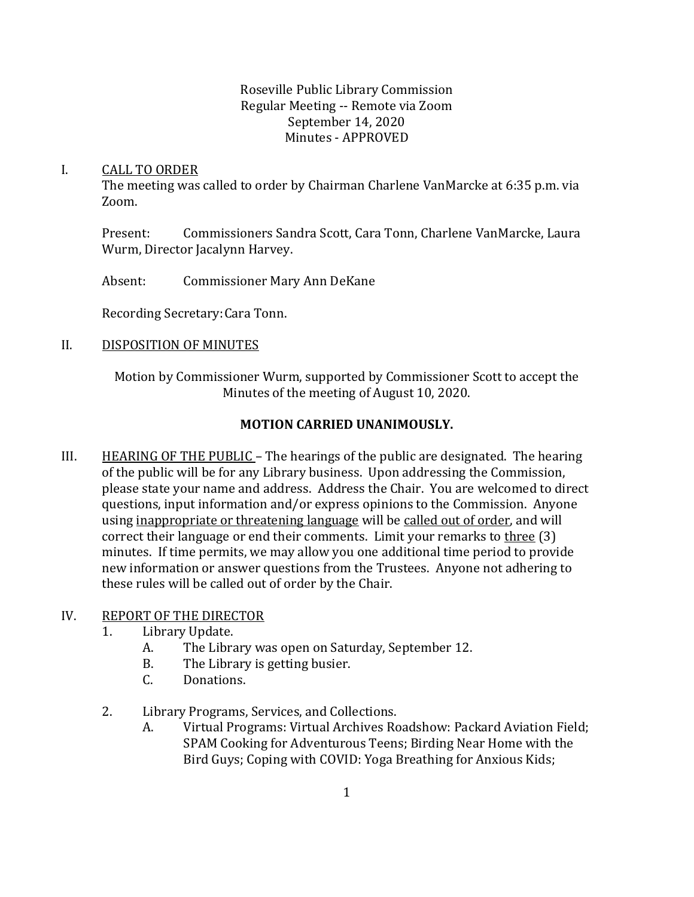#### Roseville Public Library Commission Regular Meeting -- Remote via Zoom September 14, 2020 Minutes - APPROVED

#### I. CALL TO ORDER

The meeting was called to order by Chairman Charlene VanMarcke at 6:35 p.m. via Zoom.

Present: Commissioners Sandra Scott, Cara Tonn, Charlene VanMarcke, Laura Wurm, Director Jacalynn Harvey.

Absent: Commissioner Mary Ann DeKane

Recording Secretary:Cara Tonn.

# II. DISPOSITION OF MINUTES

Motion by Commissioner Wurm, supported by Commissioner Scott to accept the Minutes of the meeting of August 10, 2020.

# **MOTION CARRIED UNANIMOUSLY.**

III. HEARING OF THE PUBLIC – The hearings of the public are designated. The hearing of the public will be for any Library business. Upon addressing the Commission, please state your name and address. Address the Chair. You are welcomed to direct questions, input information and/or express opinions to the Commission. Anyone using inappropriate or threatening language will be called out of order, and will correct their language or end their comments. Limit your remarks to three (3) minutes. If time permits, we may allow you one additional time period to provide new information or answer questions from the Trustees. Anyone not adhering to these rules will be called out of order by the Chair.

## IV. REPORT OF THE DIRECTOR

- 1. Library Update.
	- A. The Library was open on Saturday, September 12.
	- B. The Library is getting busier.
	- C. Donations.
- 2. Library Programs, Services, and Collections.
	- A. Virtual Programs: Virtual Archives Roadshow: Packard Aviation Field; SPAM Cooking for Adventurous Teens; Birding Near Home with the Bird Guys; Coping with COVID: Yoga Breathing for Anxious Kids;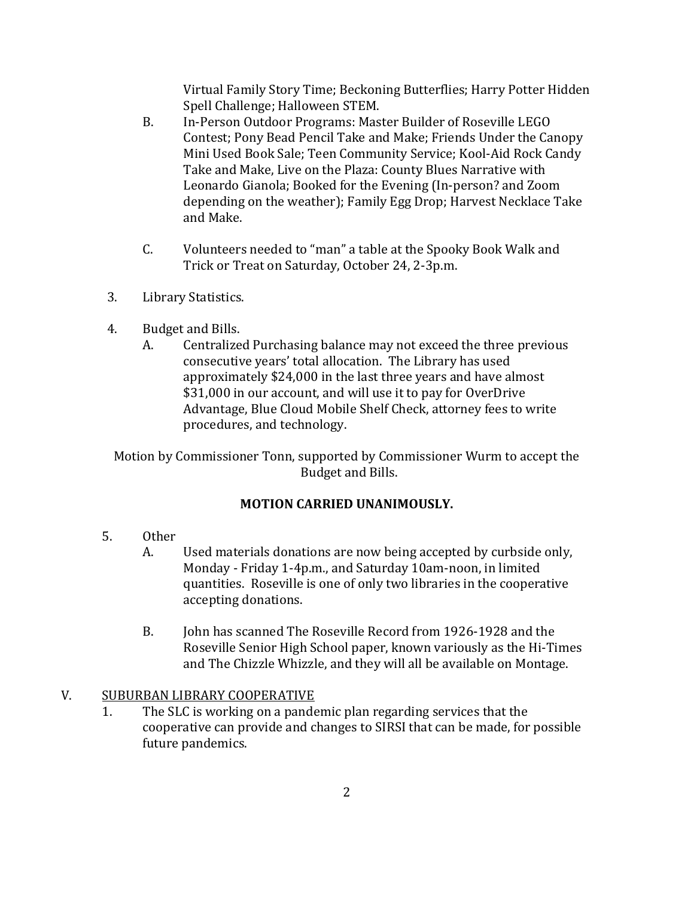Virtual Family Story Time; Beckoning Butterflies; Harry Potter Hidden Spell Challenge; Halloween STEM.

- B. In-Person Outdoor Programs: Master Builder of Roseville LEGO Contest; Pony Bead Pencil Take and Make; Friends Under the Canopy Mini Used Book Sale; Teen Community Service; Kool-Aid Rock Candy Take and Make, Live on the Plaza: County Blues Narrative with Leonardo Gianola; Booked for the Evening (In-person? and Zoom depending on the weather); Family Egg Drop; Harvest Necklace Take and Make.
- C. Volunteers needed to "man" a table at the Spooky Book Walk and Trick or Treat on Saturday, October 24, 2-3p.m.
- 3. Library Statistics.
- 4. Budget and Bills.
	- A. Centralized Purchasing balance may not exceed the three previous consecutive years' total allocation. The Library has used approximately \$24,000 in the last three years and have almost \$31,000 in our account, and will use it to pay for OverDrive Advantage, Blue Cloud Mobile Shelf Check, attorney fees to write procedures, and technology.

Motion by Commissioner Tonn, supported by Commissioner Wurm to accept the Budget and Bills.

## **MOTION CARRIED UNANIMOUSLY.**

- 5. Other
	- A. Used materials donations are now being accepted by curbside only, Monday - Friday 1-4p.m., and Saturday 10am-noon, in limited quantities. Roseville is one of only two libraries in the cooperative accepting donations.
	- B. John has scanned The Roseville Record from 1926-1928 and the Roseville Senior High School paper, known variously as the Hi-Times and The Chizzle Whizzle, and they will all be available on Montage.

## V. SUBURBAN LIBRARY COOPERATIVE

1. The SLC is working on a pandemic plan regarding services that the cooperative can provide and changes to SIRSI that can be made, for possible future pandemics.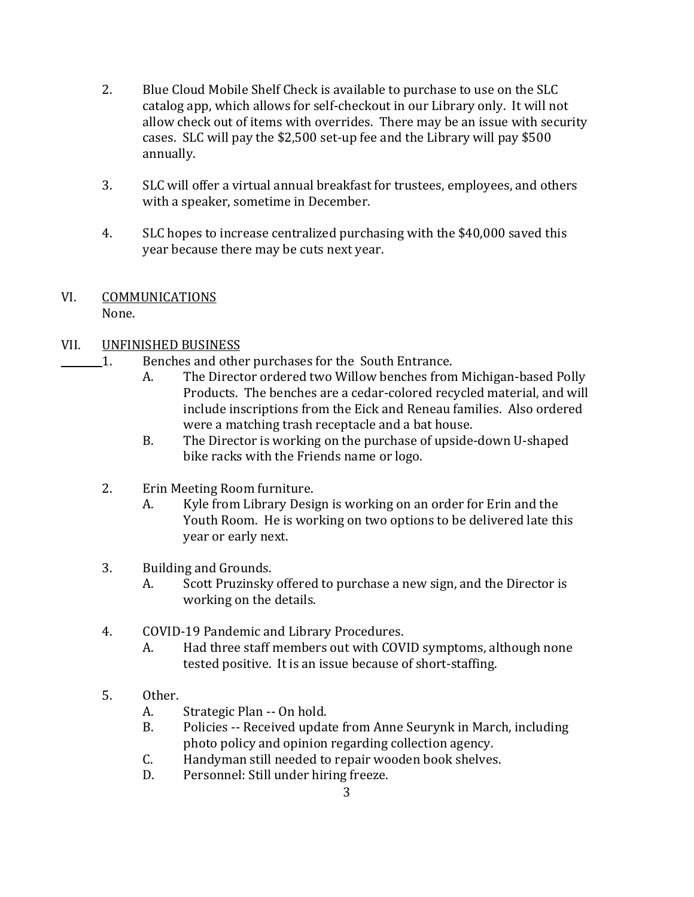- 2. Blue Cloud Mobile Shelf Check is available to purchase to use on the SLC catalog app, which allows for self-checkout in our Library only. It will not allow check out of items with overrides. There may be an issue with security cases. SLC will pay the \$2,500 set-up fee and the Library will pay \$500 annually.
- 3. SLC will offer a virtual annual breakfast for trustees, employees, and others with a speaker, sometime in December.
- 4. SLC hopes to increase centralized purchasing with the \$40,000 saved this year because there may be cuts next year.
- VI. COMMUNICATIONS

None.

- VII. UNFINISHED BUSINESS
	- 1. Benches and other purchases for the South Entrance.
		- A. The Director ordered two Willow benches from Michigan-based Polly Products. The benches are a cedar-colored recycled material, and will include inscriptions from the Eick and Reneau families. Also ordered were a matching trash receptacle and a bat house.
		- B. The Director is working on the purchase of upside-down U-shaped bike racks with the Friends name or logo.
	- 2. Erin Meeting Room furniture.
		- A. Kyle from Library Design is working on an order for Erin and the Youth Room. He is working on two options to be delivered late this year or early next.
	- 3. Building and Grounds.
		- A. Scott Pruzinsky offered to purchase a new sign, and the Director is working on the details.
	- 4. COVID-19 Pandemic and Library Procedures.
		- A. Had three staff members out with COVID symptoms, although none tested positive. It is an issue because of short-staffing.
	- 5. Other.
		- A. Strategic Plan -- On hold.
		- B. Policies -- Received update from Anne Seurynk in March, including photo policy and opinion regarding collection agency.
		- C. Handyman still needed to repair wooden book shelves.
		- D. Personnel: Still under hiring freeze.